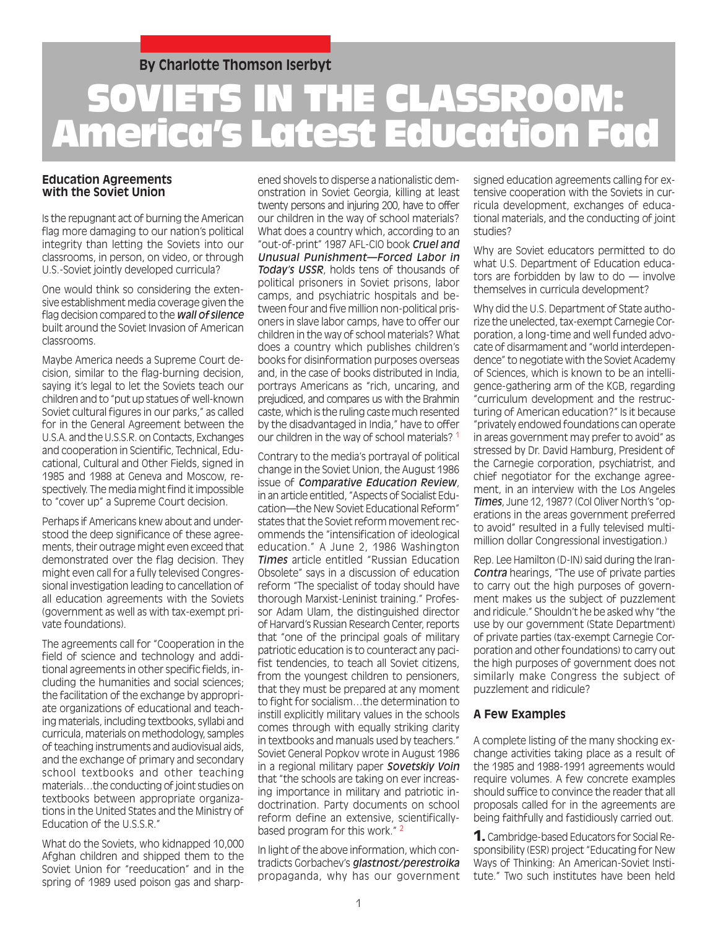### **By Charlotte Thomson Iserbyt**

# SOVIETS IN THE CLASSROOM: America's Latest Education Fad

#### **Education Agreements with the Soviet Union**

Is the repugnant act of burning the American flag more damaging to our nation's political integrity than letting the Soviets into our classrooms, in person, on video, or through U.S.-Soviet jointly developed curricula?

One would think so considering the extensive establishment media coverage given the flag decision compared to the *wall of silence* built around the Soviet Invasion of American classrooms.

Maybe America needs a Supreme Court decision, similar to the flag-burning decision, saying it's legal to let the Soviets teach our children and to "put up statues of well-known Soviet cultural figures in our parks," as called for in the General Agreement between the U.S.A. and the U.S.S.R. on Contacts, Exchanges and cooperation in Scientific, Technical, Educational, Cultural and Other Fields, signed in 1985 and 1988 at Geneva and Moscow, respectively. The media might find it impossible to "cover up" a Supreme Court decision.

Perhaps if Americans knew about and understood the deep significance of these agreements, their outrage might even exceed that demonstrated over the flag decision. They might even call for a fully televised Congressional investigation leading to cancellation of all education agreements with the Soviets (government as well as with tax-exempt private foundations).

The agreements call for "Cooperation in the field of science and technology and additional agreements in other specific fields, including the humanities and social sciences; the facilitation of the exchange by appropriate organizations of educational and teaching materials, including textbooks, syllabi and curricula, materials on methodology, samples of teaching instruments and audiovisual aids, and the exchange of primary and secondary school textbooks and other teaching materials…the conducting of joint studies on textbooks between appropriate organizations in the United States and the Ministry of Education of the U.S.S.R."

What do the Soviets, who kidnapped 10,000 Afghan children and shipped them to the Soviet Union for "reeducation" and in the spring of 1989 used poison gas and sharpened shovels to disperse a nationalistic demonstration in Soviet Georgia, killing at least twenty persons and injuring 200, have to offer our children in the way of school materials? What does a country which, according to an "out-of-print" 1987 AFL-CIO book *Cruel and Unusual Punishment—Forced Labor in Today's USSR*, holds tens of thousands of political prisoners in Soviet prisons, labor camps, and psychiatric hospitals and between four and five million non-political prisoners in slave labor camps, have to offer our children in the way of school materials? What does a country which publishes children's books for disinformation purposes overseas and, in the case of books distributed in India, portrays Americans as "rich, uncaring, and prejudiced, and compares us with the Brahmin caste, which is the ruling caste much resented by the disadvantaged in India," have to offer our children in the way of school materials? 1

Contrary to the media's portrayal of political change in the Soviet Union, the August 1986 issue of *Comparative Education Review*, in an article entitled, "Aspects of Socialist Education—the New Soviet Educational Reform" states that the Soviet reform movement recommends the "intensification of ideological education." A June 2, 1986 Washington *Times* article entitled "Russian Education Obsolete" says in a discussion of education reform "The specialist of today should have thorough Marxist-Leninist training." Professor Adam Ulam, the distinguished director of Harvard's Russian Research Center, reports that "one of the principal goals of military patriotic education is to counteract any pacifist tendencies, to teach all Soviet citizens, from the youngest children to pensioners, that they must be prepared at any moment to fight for socialism…the determination to instill explicitly military values in the schools comes through with equally striking clarity in textbooks and manuals used by teachers." Soviet General Popkov wrote in August 1986 in a regional military paper *Sovetskiy Voin* that "the schools are taking on ever increasing importance in military and patriotic indoctrination. Party documents on school reform define an extensive, scientificallybased program for this work." 2

In light of the above information, which contradicts Gorbachev's *glastnost/perestroika* propaganda, why has our government signed education agreements calling for extensive cooperation with the Soviets in curricula development, exchanges of educational materials, and the conducting of joint studies?

Why are Soviet educators permitted to do what U.S. Department of Education educators are forbidden by law to do — involve themselves in curricula development?

Why did the U.S. Department of State authorize the unelected, tax-exempt Carnegie Corporation, a long-time and well funded advocate of disarmament and "world interdependence" to negotiate with the Soviet Academy of Sciences, which is known to be an intelligence-gathering arm of the KGB, regarding "curriculum development and the restructuring of American education?" Is it because "privately endowed foundations can operate in areas government may prefer to avoid" as stressed by Dr. David Hamburg, President of the Carnegie corporation, psychiatrist, and chief negotiator for the exchange agreement, in an interview with the Los Angeles *Times*, June 12, 1987? (Col Oliver North's "operations in the areas government preferred to avoid" resulted in a fully televised multimillion dollar Congressional investigation.)

Rep. Lee Hamilton (D-IN) said during the Iran-*Contra* hearings, "The use of private parties to carry out the high purposes of government makes us the subject of puzzlement and ridicule." Shouldn't he be asked why "the use by our government (State Department) of private parties (tax-exempt Carnegie Corporation and other foundations) to carry out the high purposes of government does not similarly make Congress the subject of puzzlement and ridicule?

#### **A Few Examples**

A complete listing of the many shocking exchange activities taking place as a result of the 1985 and 1988-1991 agreements would require volumes. A few concrete examples should suffice to convince the reader that all proposals called for in the agreements are being faithfully and fastidiously carried out.

1. Cambridge-based Educators for Social Responsibility (ESR) project "Educating for New Ways of Thinking: An American-Soviet Institute." Two such institutes have been held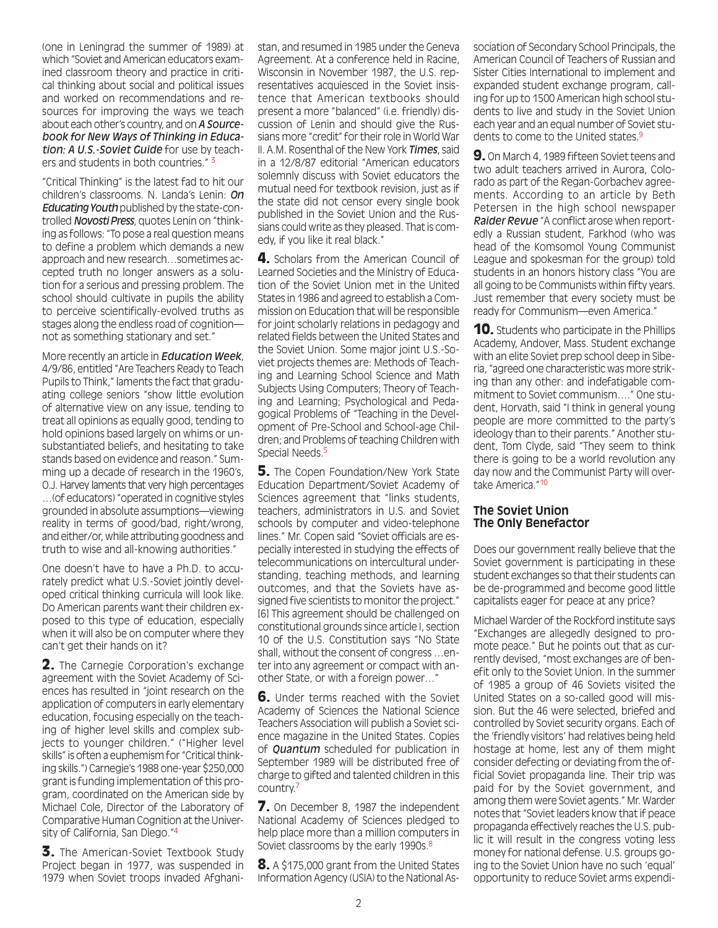(one in Leningrad the summer of 1989) at which "Soviet and American educators examined classroom theory and practice in critical thinking about social and political issues and worked on recommendations and resources for improving the ways we teach about each other's country, and on *A Sourcebook for New Ways of Thinking in Education: A U.S.-Soviet Guide* for use by teachers and students in both countries." 3

"Critical Thinking" is the latest fad to hit our children's classrooms. N. Landa's Lenin: *On Educating Youth* published by the state-controlled *Novosti Press*, quotes Lenin on "thinking as follows: "To pose a real question means to define a problem which demands a new approach and new research…sometimes accepted truth no longer answers as a solution for a serious and pressing problem. The school should cultivate in pupils the ability to perceive scientifically-evolved truths as stages along the endless road of cognition not as something stationary and set."

More recently an article in *Education Week*, 4/9/86, entitled "Are Teachers Ready to Teach Pupils to Think," laments the fact that graduating college seniors "show little evolution of alternative view on any issue, tending to treat all opinions as equally good, tending to hold opinions based largely on whims or unsubstantiated beliefs, and hesitating to take stands based on evidence and reason." Summing up a decade of research in the 1960's, O.J. Harvey laments that very high percentages …(of educators) "operated in cognitive styles grounded in absolute assumptions—viewing reality in terms of good/bad, right/wrong, and either/or, while attributing goodness and truth to wise and all-knowing authorities."

One doesn't have to have a Ph.D. to accurately predict what U.S.-Soviet jointly developed critical thinking curricula will look like. Do American parents want their children exposed to this type of education, especially when it will also be on computer where they can't get their hands on it?

2. The Carnegie Corporation's exchange agreement with the Soviet Academy of Sciences has resulted in "joint research on the application of computers in early elementary education, focusing especially on the teaching of higher level skills and complex subjects to younger children." ("Higher level skills" is often a euphemism for "Critical thinking skills.") Carnegie's 1988 one-year \$250,000 grant is funding implementation of this program, coordinated on the American side by Michael Cole, Director of the Laboratory of Comparative Human Cognition at the University of California, San Diego."4

3. The American-Soviet Textbook Study Project began in 1977, was suspended in 1979 when Soviet troops invaded Afghanistan, and resumed in 1985 under the Geneva Agreement. At a conference held in Racine, Wisconsin in November 1987, the U.S. representatives acquiesced in the Soviet insistence that American textbooks should present a more "balanced" (i.e. friendly) discussion of Lenin and should give the Russians more "credit" for their role in World War II. A.M. Rosenthal of the New York *Times*, said in a 12/8/87 editorial "American educators solemnly discuss with Soviet educators the mutual need for textbook revision, just as if the state did not censor every single book published in the Soviet Union and the Russians could write as they pleased. That is comedy, if you like it real black."

4. Scholars from the American Council of Learned Societies and the Ministry of Education of the Soviet Union met in the United States in 1986 and agreed to establish a Commission on Education that will be responsible for joint scholarly relations in pedagogy and related fields between the United States and the Soviet Union. Some major joint U.S.-Soviet projects themes are: Methods of Teaching and Learning School Science and Math Subjects Using Computers; Theory of Teaching and Learning; Psychological and Pedagogical Problems of "Teaching in the Development of Pre-School and School-age Children; and Problems of teaching Children with Special Needs.<sup>5</sup>

**5.** The Copen Foundation/New York State Education Department/Soviet Academy of Sciences agreement that "links students, teachers, administrators in U.S. and Soviet schools by computer and video-telephone lines." Mr. Copen said "Soviet officials are especially interested in studying the effects of telecommunications on intercultural understanding, teaching methods, and learning outcomes, and that the Soviets have assigned five scientists to monitor the project." [6] This agreement should be challenged on constitutional grounds since article I, section 10 of the U.S. Constitution says "No State shall, without the consent of congress …enter into any agreement or compact with another State, or with a foreign power…"

6. Under terms reached with the Soviet Academy of Sciences the National Science Teachers Association will publish a Soviet science magazine in the United States. Copies of *Quantum* scheduled for publication in September 1989 will be distributed free of charge to gifted and talented children in this country.7

7. On December 8, 1987 the independent National Academy of Sciences pledged to help place more than a million computers in Soviet classrooms by the early 1990s.<sup>8</sup>

8. A \$175,000 grant from the United States Information Agency (USIA) to the National Association of Secondary School Principals, the American Council of Teachers of Russian and Sister Cities International to implement and expanded student exchange program, calling for up to 1500 American high school students to live and study in the Soviet Union each year and an equal number of Soviet students to come to the United states.<sup>9</sup>

9. On March 4, 1989 fifteen Soviet teens and two adult teachers arrived in Aurora, Colorado as part of the Regan-Gorbachev agreements. According to an article by Beth Petersen in the high school newspaper *Raider Revue* "A conflict arose when reportedly a Russian student, Farkhod (who was head of the Komsomol Young Communist League and spokesman for the group) told students in an honors history class "You are all going to be Communists within fifty years. Just remember that every society must be ready for Communism—even America."

**10.** Students who participate in the Phillips Academy, Andover, Mass. Student exchange with an elite Soviet prep school deep in Siberia, "agreed one characteristic was more striking than any other: and indefatigable commitment to Soviet communism…." One student, Horvath, said "I think in general young people are more committed to the party's ideology than to their parents." Another student, Tom Clyde, said "They seem to think there is going to be a world revolution any day now and the Communist Party will overtake America<sup>"10</sup>

#### **The Soviet Union The Only Benefactor**

Does our government really believe that the Soviet government is participating in these student exchanges so that their students can be de-programmed and become good little capitalists eager for peace at any price?

Michael Warder of the Rockford institute says "Exchanges are allegedly designed to promote peace." But he points out that as currently devised, "most exchanges are of benefit only to the Soviet Union. In the summer of 1985 a group of 46 Soviets visited the United States on a so-called good will mission. But the 46 were selected, briefed and controlled by Soviet security organs. Each of the 'friendly visitors' had relatives being held hostage at home, lest any of them might consider defecting or deviating from the official Soviet propaganda line. Their trip was paid for by the Soviet government, and among them were Soviet agents." Mr. Warder notes that "Soviet leaders know that if peace propaganda effectively reaches the U.S. public it will result in the congress voting less money for national defense. U.S. groups going to the Soviet Union have no such 'equal' opportunity to reduce Soviet arms expendi